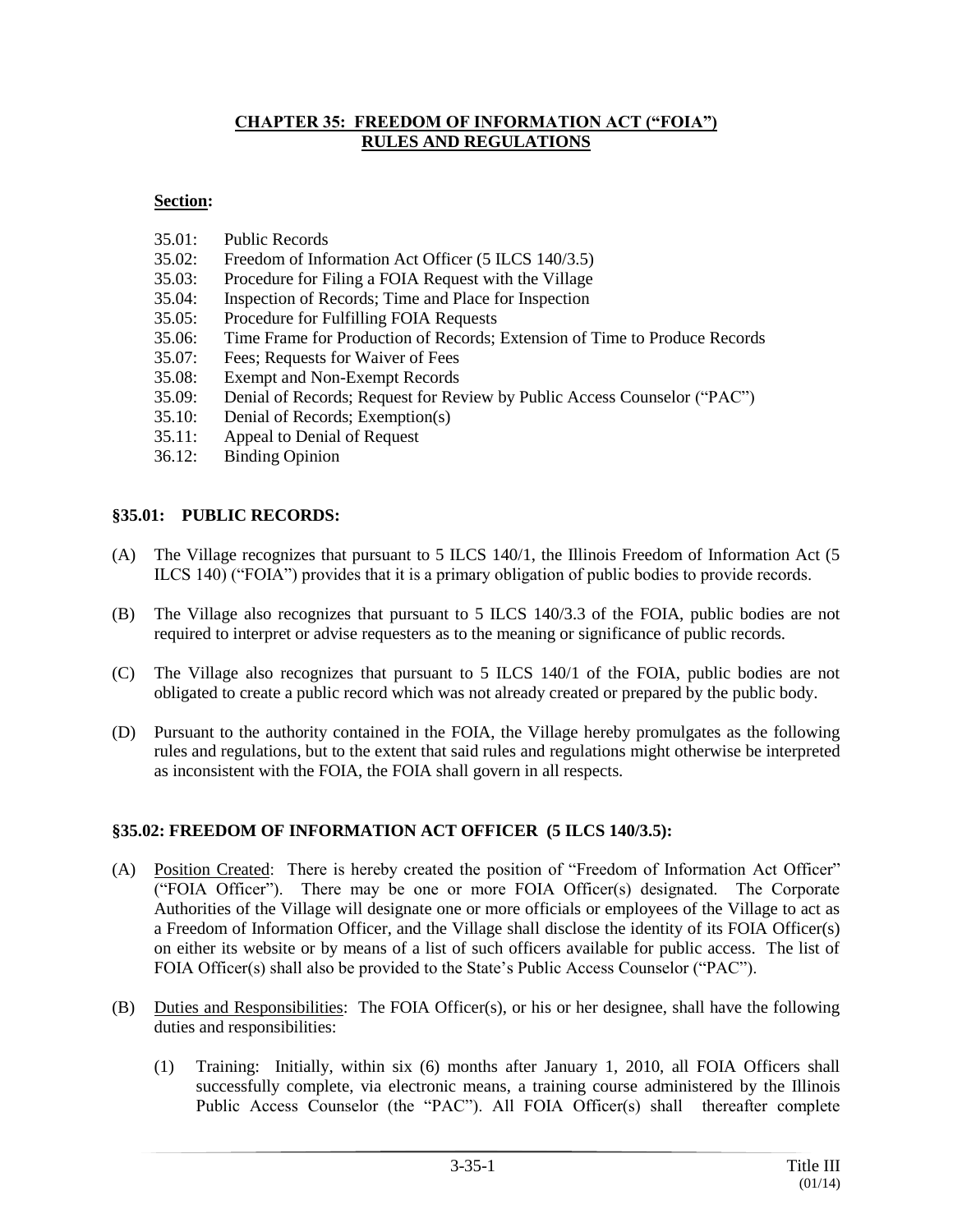#### **CHAPTER 35: FREEDOM OF INFORMATION ACT ("FOIA") RULES AND REGULATIONS**

### **Section:**

- 35.01: Public Records
- 35.02: Freedom of Information Act Officer (5 ILCS 140/3.5)
- 35.03: Procedure for Filing a FOIA Request with the Village
- 35.04: Inspection of Records; Time and Place for Inspection
- 35.05: Procedure for Fulfilling FOIA Requests
- 35.06: Time Frame for Production of Records; Extension of Time to Produce Records
- 35.07: Fees; Requests for Waiver of Fees
- 35.08: Exempt and Non-Exempt Records
- 35.09: Denial of Records; Request for Review by Public Access Counselor ("PAC")
- 35.10: Denial of Records; Exemption(s)
- 35.11: Appeal to Denial of Request
- 36.12: Binding Opinion

#### **§35.01: PUBLIC RECORDS:**

- (A) The Village recognizes that pursuant to 5 ILCS 140/1, the Illinois Freedom of Information Act (5 ILCS 140) ("FOIA") provides that it is a primary obligation of public bodies to provide records.
- (B) The Village also recognizes that pursuant to 5 ILCS 140/3.3 of the FOIA, public bodies are not required to interpret or advise requesters as to the meaning or significance of public records.
- (C) The Village also recognizes that pursuant to 5 ILCS 140/1 of the FOIA, public bodies are not obligated to create a public record which was not already created or prepared by the public body.
- (D) Pursuant to the authority contained in the FOIA, the Village hereby promulgates as the following rules and regulations, but to the extent that said rules and regulations might otherwise be interpreted as inconsistent with the FOIA, the FOIA shall govern in all respects.

### **§35.02: FREEDOM OF INFORMATION ACT OFFICER (5 ILCS 140/3.5):**

- (A) Position Created: There is hereby created the position of "Freedom of Information Act Officer" ("FOIA Officer"). There may be one or more FOIA Officer(s) designated. The Corporate Authorities of the Village will designate one or more officials or employees of the Village to act as a Freedom of Information Officer, and the Village shall disclose the identity of its FOIA Officer(s) on either its website or by means of a list of such officers available for public access. The list of FOIA Officer(s) shall also be provided to the State's Public Access Counselor ("PAC").
- (B) Duties and Responsibilities: The FOIA Officer(s), or his or her designee, shall have the following duties and responsibilities:
	- (1) Training: Initially, within six (6) months after January 1, 2010, all FOIA Officers shall successfully complete, via electronic means, a training course administered by the Illinois Public Access Counselor (the "PAC"). All FOIA Officer(s) shall thereafter complete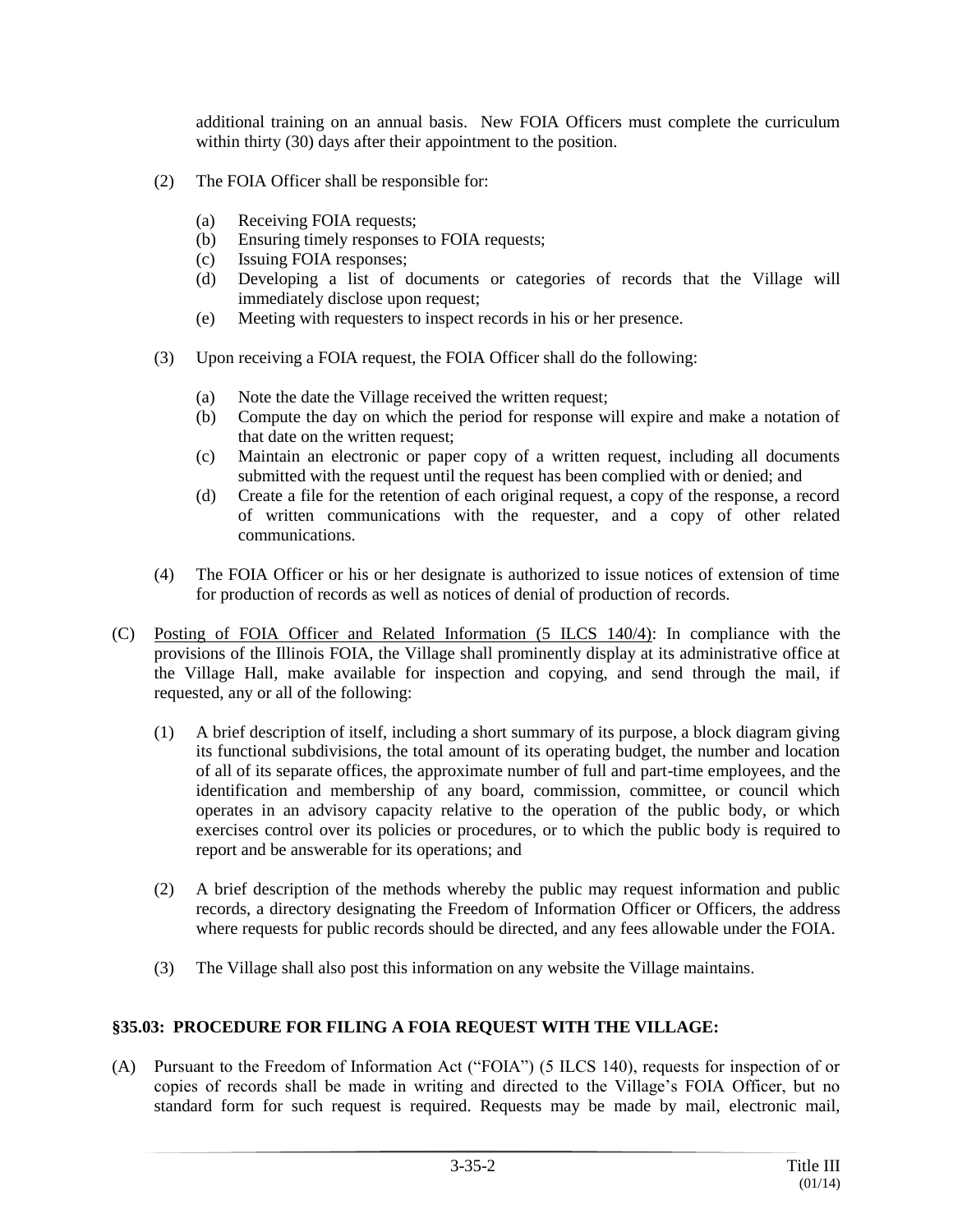additional training on an annual basis. New FOIA Officers must complete the curriculum within thirty (30) days after their appointment to the position.

- (2) The FOIA Officer shall be responsible for:
	- (a) Receiving FOIA requests;
	- (b) Ensuring timely responses to FOIA requests;
	- (c) Issuing FOIA responses;
	- (d) Developing a list of documents or categories of records that the Village will immediately disclose upon request;
	- (e) Meeting with requesters to inspect records in his or her presence.
- (3) Upon receiving a FOIA request, the FOIA Officer shall do the following:
	- (a) Note the date the Village received the written request;
	- (b) Compute the day on which the period for response will expire and make a notation of that date on the written request;
	- (c) Maintain an electronic or paper copy of a written request, including all documents submitted with the request until the request has been complied with or denied; and
	- (d) Create a file for the retention of each original request, a copy of the response, a record of written communications with the requester, and a copy of other related communications.
- (4) The FOIA Officer or his or her designate is authorized to issue notices of extension of time for production of records as well as notices of denial of production of records.
- (C) Posting of FOIA Officer and Related Information (5 ILCS 140/4): In compliance with the provisions of the Illinois FOIA, the Village shall prominently display at its administrative office at the Village Hall, make available for inspection and copying, and send through the mail, if requested, any or all of the following:
	- (1) A brief description of itself, including a short summary of its purpose, a block diagram giving its functional subdivisions, the total amount of its operating budget, the number and location of all of its separate offices, the approximate number of full and part-time employees, and the identification and membership of any board, commission, committee, or council which operates in an advisory capacity relative to the operation of the public body, or which exercises control over its policies or procedures, or to which the public body is required to report and be answerable for its operations; and
	- (2) A brief description of the methods whereby the public may request information and public records, a directory designating the Freedom of Information Officer or Officers, the address where requests for public records should be directed, and any fees allowable under the FOIA.
	- (3) The Village shall also post this information on any website the Village maintains.

## **§35.03: PROCEDURE FOR FILING A FOIA REQUEST WITH THE VILLAGE:**

(A) Pursuant to the Freedom of Information Act ("FOIA") (5 ILCS 140), requests for inspection of or copies of records shall be made in writing and directed to the Village's FOIA Officer, but no standard form for such request is required. Requests may be made by mail, electronic mail,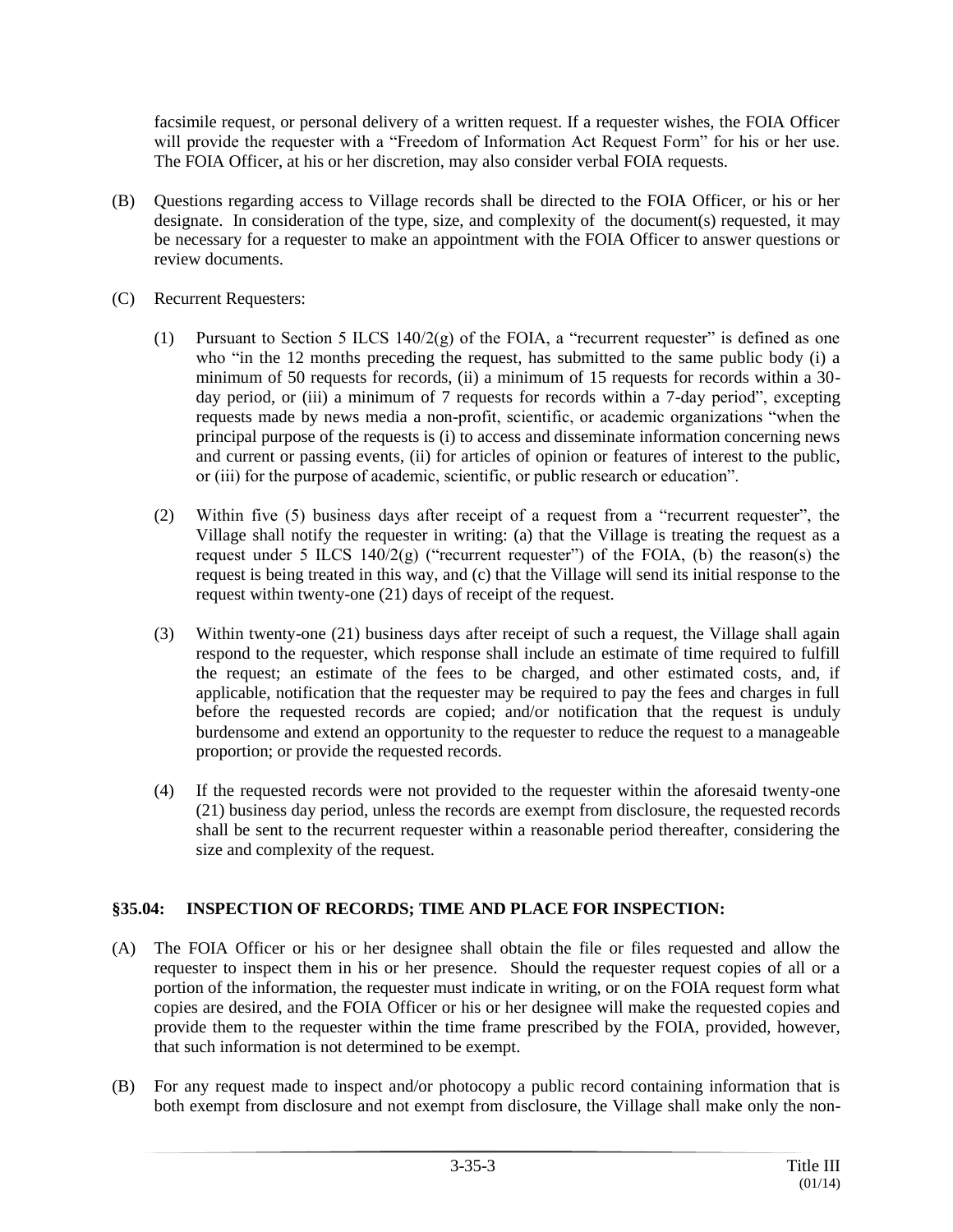facsimile request, or personal delivery of a written request. If a requester wishes, the FOIA Officer will provide the requester with a "Freedom of Information Act Request Form" for his or her use. The FOIA Officer, at his or her discretion, may also consider verbal FOIA requests.

- (B) Questions regarding access to Village records shall be directed to the FOIA Officer, or his or her designate. In consideration of the type, size, and complexity of the document(s) requested, it may be necessary for a requester to make an appointment with the FOIA Officer to answer questions or review documents.
- (C) Recurrent Requesters:
	- (1) Pursuant to Section 5 ILCS 140/2(g) of the FOIA, a "recurrent requester" is defined as one who "in the 12 months preceding the request, has submitted to the same public body (i) a minimum of 50 requests for records, (ii) a minimum of 15 requests for records within a 30 day period, or (iii) a minimum of 7 requests for records within a 7-day period", excepting requests made by news media a non-profit, scientific, or academic organizations "when the principal purpose of the requests is (i) to access and disseminate information concerning news and current or passing events, (ii) for articles of opinion or features of interest to the public, or (iii) for the purpose of academic, scientific, or public research or education".
	- (2) Within five (5) business days after receipt of a request from a "recurrent requester", the Village shall notify the requester in writing: (a) that the Village is treating the request as a request under 5 ILCS  $140/2(g)$  ("recurrent requester") of the FOIA, (b) the reason(s) the request is being treated in this way, and (c) that the Village will send its initial response to the request within twenty-one (21) days of receipt of the request.
	- (3) Within twenty-one (21) business days after receipt of such a request, the Village shall again respond to the requester, which response shall include an estimate of time required to fulfill the request; an estimate of the fees to be charged, and other estimated costs, and, if applicable, notification that the requester may be required to pay the fees and charges in full before the requested records are copied; and/or notification that the request is unduly burdensome and extend an opportunity to the requester to reduce the request to a manageable proportion; or provide the requested records.
	- (4) If the requested records were not provided to the requester within the aforesaid twenty-one (21) business day period, unless the records are exempt from disclosure, the requested records shall be sent to the recurrent requester within a reasonable period thereafter, considering the size and complexity of the request.

## **§35.04: INSPECTION OF RECORDS; TIME AND PLACE FOR INSPECTION:**

- (A) The FOIA Officer or his or her designee shall obtain the file or files requested and allow the requester to inspect them in his or her presence. Should the requester request copies of all or a portion of the information, the requester must indicate in writing, or on the FOIA request form what copies are desired, and the FOIA Officer or his or her designee will make the requested copies and provide them to the requester within the time frame prescribed by the FOIA, provided, however, that such information is not determined to be exempt.
- (B) For any request made to inspect and/or photocopy a public record containing information that is both exempt from disclosure and not exempt from disclosure, the Village shall make only the non-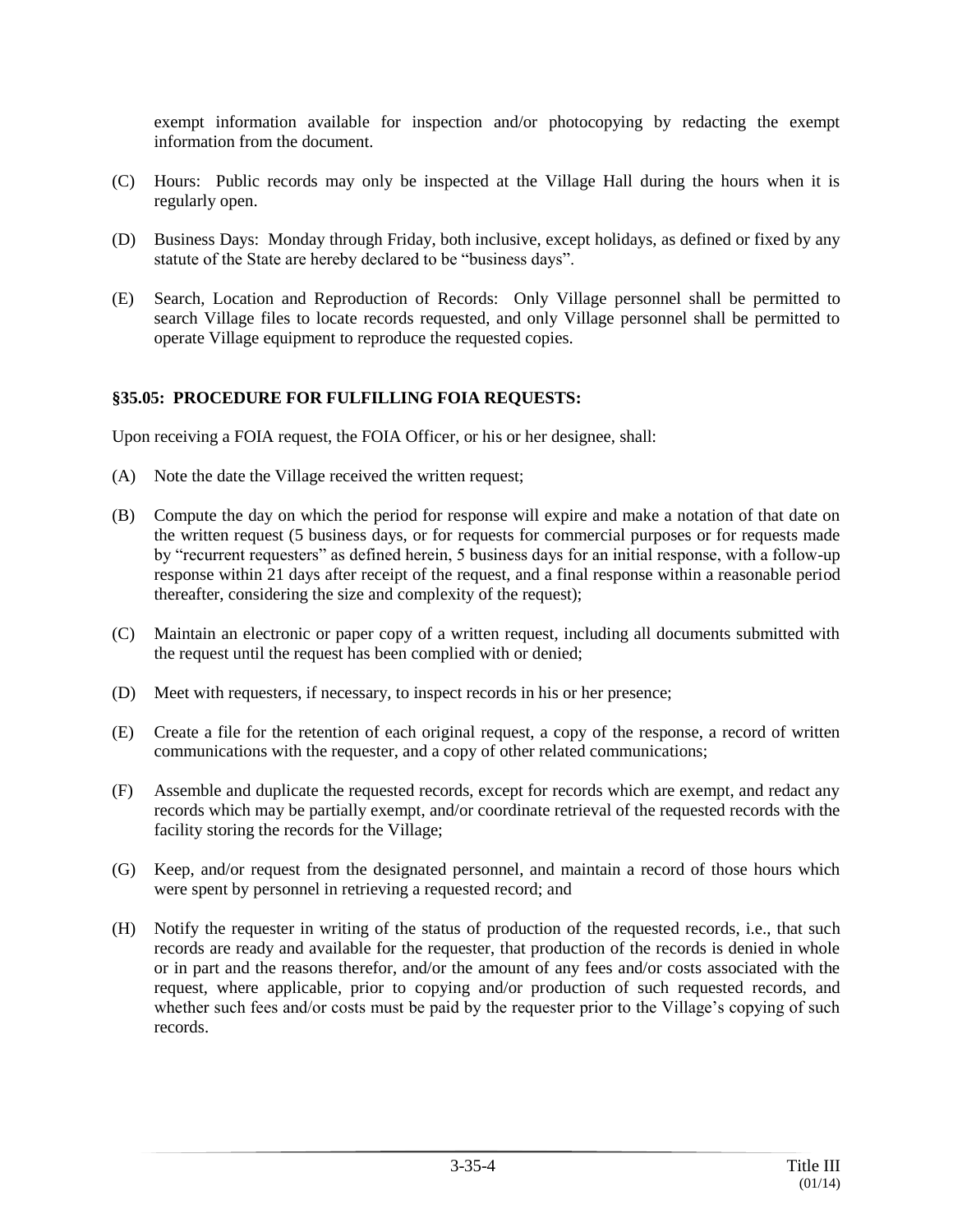exempt information available for inspection and/or photocopying by redacting the exempt information from the document.

- (C) Hours: Public records may only be inspected at the Village Hall during the hours when it is regularly open.
- (D) Business Days: Monday through Friday, both inclusive, except holidays, as defined or fixed by any statute of the State are hereby declared to be "business days".
- (E) Search, Location and Reproduction of Records: Only Village personnel shall be permitted to search Village files to locate records requested, and only Village personnel shall be permitted to operate Village equipment to reproduce the requested copies.

## **§35.05: PROCEDURE FOR FULFILLING FOIA REQUESTS:**

Upon receiving a FOIA request, the FOIA Officer, or his or her designee, shall:

- (A) Note the date the Village received the written request;
- (B) Compute the day on which the period for response will expire and make a notation of that date on the written request (5 business days, or for requests for commercial purposes or for requests made by "recurrent requesters" as defined herein, 5 business days for an initial response, with a follow-up response within 21 days after receipt of the request, and a final response within a reasonable period thereafter, considering the size and complexity of the request);
- (C) Maintain an electronic or paper copy of a written request, including all documents submitted with the request until the request has been complied with or denied;
- (D) Meet with requesters, if necessary, to inspect records in his or her presence;
- (E) Create a file for the retention of each original request, a copy of the response, a record of written communications with the requester, and a copy of other related communications;
- (F) Assemble and duplicate the requested records, except for records which are exempt, and redact any records which may be partially exempt, and/or coordinate retrieval of the requested records with the facility storing the records for the Village;
- (G) Keep, and/or request from the designated personnel, and maintain a record of those hours which were spent by personnel in retrieving a requested record; and
- (H) Notify the requester in writing of the status of production of the requested records, i.e., that such records are ready and available for the requester, that production of the records is denied in whole or in part and the reasons therefor, and/or the amount of any fees and/or costs associated with the request, where applicable, prior to copying and/or production of such requested records, and whether such fees and/or costs must be paid by the requester prior to the Village's copying of such records.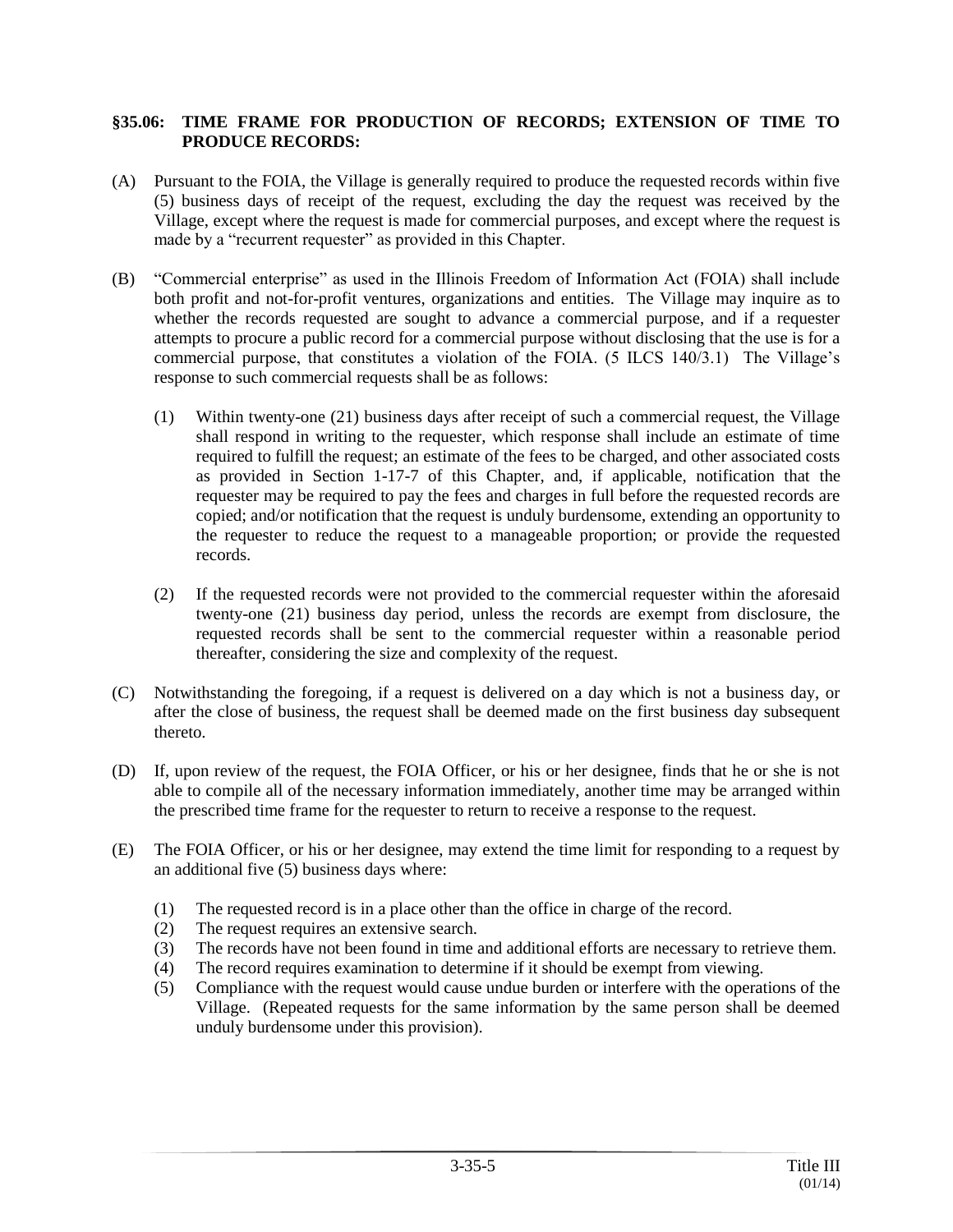#### **§35.06: TIME FRAME FOR PRODUCTION OF RECORDS; EXTENSION OF TIME TO PRODUCE RECORDS:**

- (A) Pursuant to the FOIA, the Village is generally required to produce the requested records within five (5) business days of receipt of the request, excluding the day the request was received by the Village, except where the request is made for commercial purposes, and except where the request is made by a "recurrent requester" as provided in this Chapter.
- (B) "Commercial enterprise" as used in the Illinois Freedom of Information Act (FOIA) shall include both profit and not-for-profit ventures, organizations and entities. The Village may inquire as to whether the records requested are sought to advance a commercial purpose, and if a requester attempts to procure a public record for a commercial purpose without disclosing that the use is for a commercial purpose, that constitutes a violation of the FOIA. (5 ILCS 140/3.1) The Village's response to such commercial requests shall be as follows:
	- (1) Within twenty-one (21) business days after receipt of such a commercial request, the Village shall respond in writing to the requester, which response shall include an estimate of time required to fulfill the request; an estimate of the fees to be charged, and other associated costs as provided in Section 1-17-7 of this Chapter, and, if applicable, notification that the requester may be required to pay the fees and charges in full before the requested records are copied; and/or notification that the request is unduly burdensome, extending an opportunity to the requester to reduce the request to a manageable proportion; or provide the requested records.
	- (2) If the requested records were not provided to the commercial requester within the aforesaid twenty-one (21) business day period, unless the records are exempt from disclosure, the requested records shall be sent to the commercial requester within a reasonable period thereafter, considering the size and complexity of the request.
- (C) Notwithstanding the foregoing, if a request is delivered on a day which is not a business day, or after the close of business, the request shall be deemed made on the first business day subsequent thereto.
- (D) If, upon review of the request, the FOIA Officer, or his or her designee, finds that he or she is not able to compile all of the necessary information immediately, another time may be arranged within the prescribed time frame for the requester to return to receive a response to the request.
- (E) The FOIA Officer, or his or her designee, may extend the time limit for responding to a request by an additional five (5) business days where:
	- (1) The requested record is in a place other than the office in charge of the record.
	- (2) The request requires an extensive search.
	- (3) The records have not been found in time and additional efforts are necessary to retrieve them.
	- (4) The record requires examination to determine if it should be exempt from viewing.
	- (5) Compliance with the request would cause undue burden or interfere with the operations of the Village. (Repeated requests for the same information by the same person shall be deemed unduly burdensome under this provision).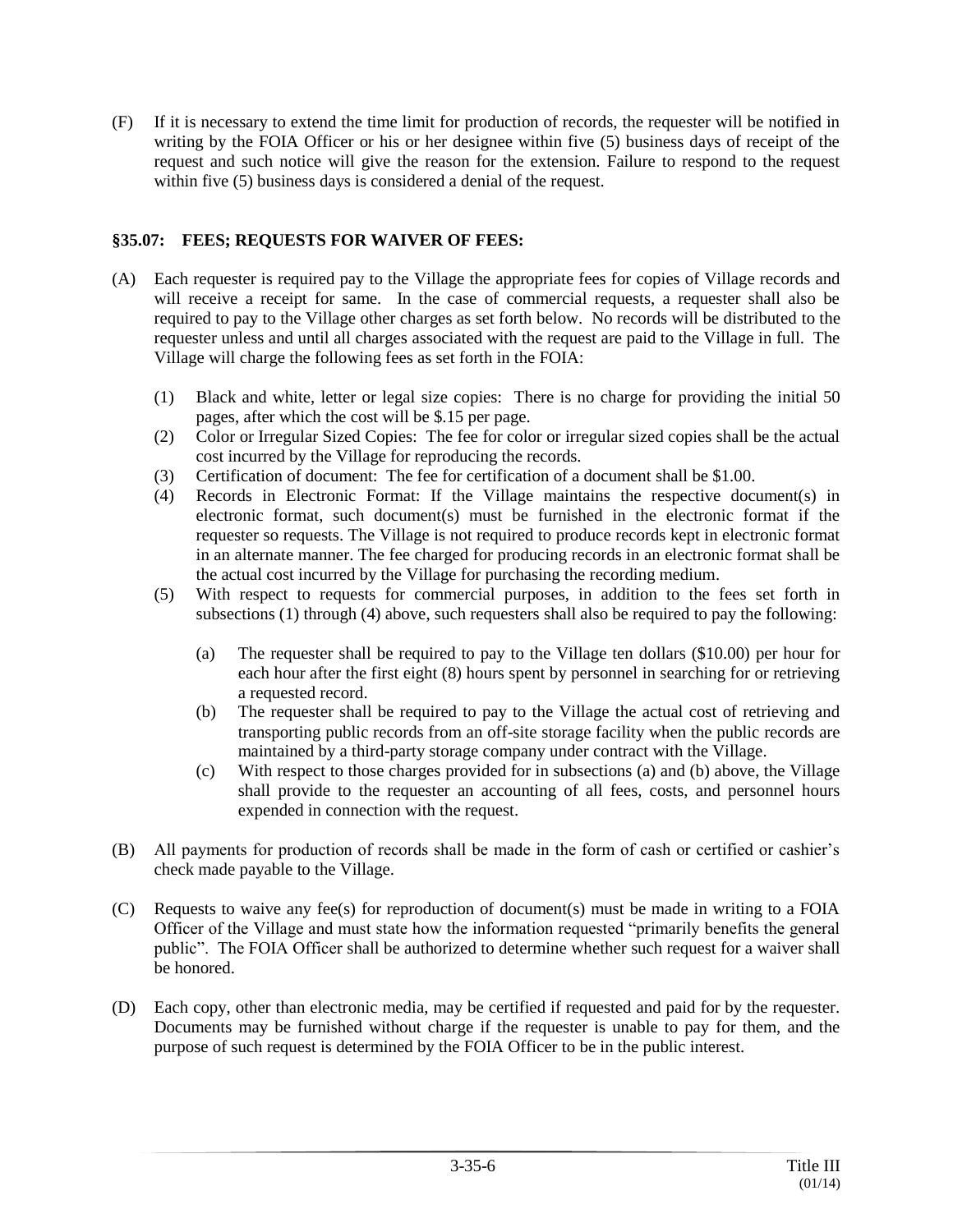(F) If it is necessary to extend the time limit for production of records, the requester will be notified in writing by the FOIA Officer or his or her designee within five (5) business days of receipt of the request and such notice will give the reason for the extension. Failure to respond to the request within five (5) business days is considered a denial of the request.

# **§35.07: FEES; REQUESTS FOR WAIVER OF FEES:**

- (A) Each requester is required pay to the Village the appropriate fees for copies of Village records and will receive a receipt for same. In the case of commercial requests, a requester shall also be required to pay to the Village other charges as set forth below. No records will be distributed to the requester unless and until all charges associated with the request are paid to the Village in full. The Village will charge the following fees as set forth in the FOIA:
	- (1) Black and white, letter or legal size copies: There is no charge for providing the initial 50 pages, after which the cost will be \$.15 per page.
	- (2) Color or Irregular Sized Copies: The fee for color or irregular sized copies shall be the actual cost incurred by the Village for reproducing the records.
	- (3) Certification of document: The fee for certification of a document shall be \$1.00.
	- (4) Records in Electronic Format: If the Village maintains the respective document(s) in electronic format, such document(s) must be furnished in the electronic format if the requester so requests. The Village is not required to produce records kept in electronic format in an alternate manner. The fee charged for producing records in an electronic format shall be the actual cost incurred by the Village for purchasing the recording medium.
	- (5) With respect to requests for commercial purposes, in addition to the fees set forth in subsections (1) through (4) above, such requesters shall also be required to pay the following:
		- (a) The requester shall be required to pay to the Village ten dollars (\$10.00) per hour for each hour after the first eight (8) hours spent by personnel in searching for or retrieving a requested record.
		- (b) The requester shall be required to pay to the Village the actual cost of retrieving and transporting public records from an off-site storage facility when the public records are maintained by a third-party storage company under contract with the Village.
		- (c) With respect to those charges provided for in subsections (a) and (b) above, the Village shall provide to the requester an accounting of all fees, costs, and personnel hours expended in connection with the request.
- (B) All payments for production of records shall be made in the form of cash or certified or cashier's check made payable to the Village.
- (C) Requests to waive any fee(s) for reproduction of document(s) must be made in writing to a FOIA Officer of the Village and must state how the information requested "primarily benefits the general public". The FOIA Officer shall be authorized to determine whether such request for a waiver shall be honored.
- (D) Each copy, other than electronic media, may be certified if requested and paid for by the requester. Documents may be furnished without charge if the requester is unable to pay for them, and the purpose of such request is determined by the FOIA Officer to be in the public interest.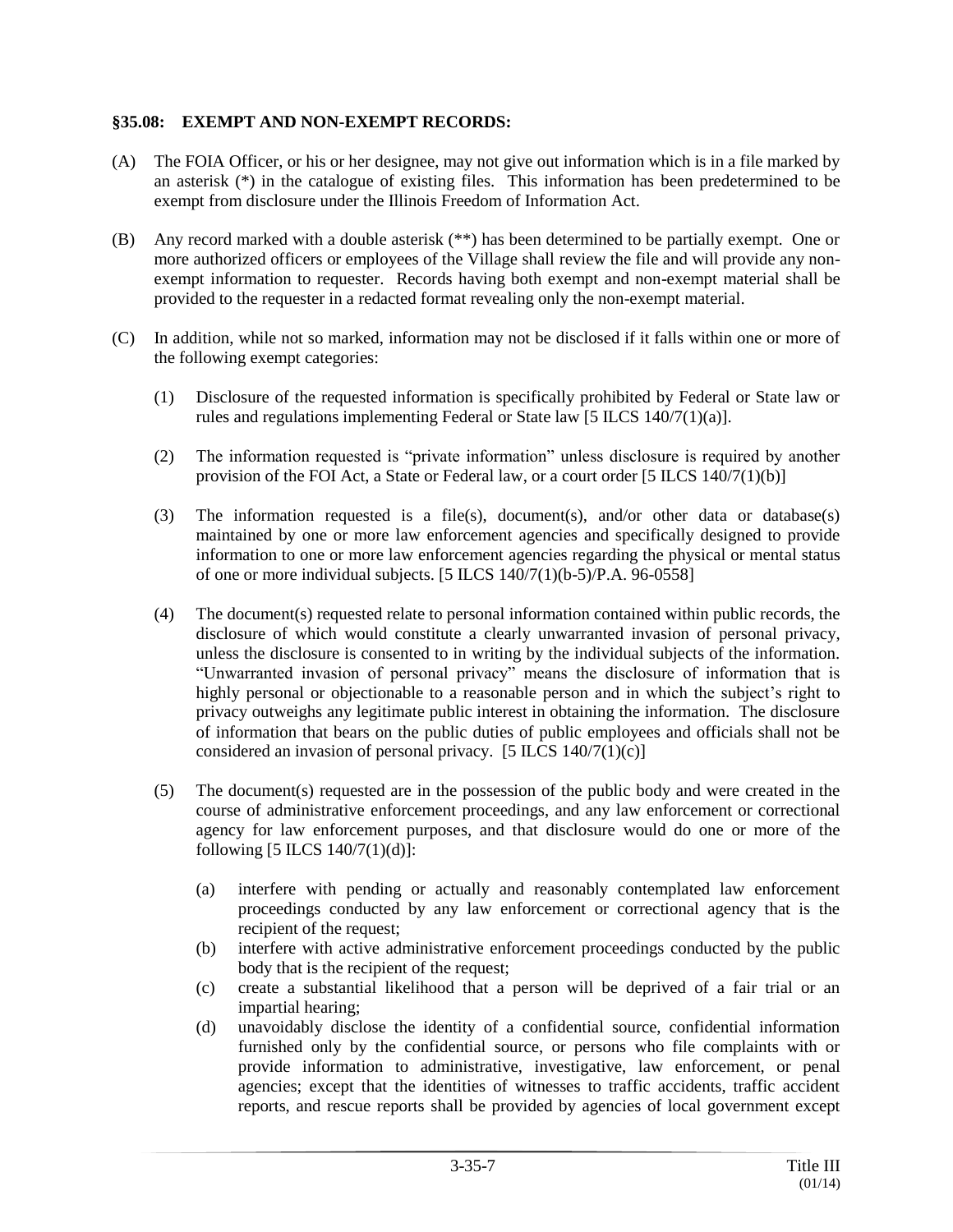### **§35.08: EXEMPT AND NON-EXEMPT RECORDS:**

- (A) The FOIA Officer, or his or her designee, may not give out information which is in a file marked by an asterisk (\*) in the catalogue of existing files. This information has been predetermined to be exempt from disclosure under the Illinois Freedom of Information Act.
- (B) Any record marked with a double asterisk (\*\*) has been determined to be partially exempt. One or more authorized officers or employees of the Village shall review the file and will provide any nonexempt information to requester. Records having both exempt and non-exempt material shall be provided to the requester in a redacted format revealing only the non-exempt material.
- (C) In addition, while not so marked, information may not be disclosed if it falls within one or more of the following exempt categories:
	- (1) Disclosure of the requested information is specifically prohibited by Federal or State law or rules and regulations implementing Federal or State law [5 ILCS 140/7(1)(a)].
	- (2) The information requested is "private information" unless disclosure is required by another provision of the FOI Act, a State or Federal law, or a court order  $[5$  ILCS  $140/7(1)(b)$ ]
	- (3) The information requested is a file(s), document(s), and/or other data or database(s) maintained by one or more law enforcement agencies and specifically designed to provide information to one or more law enforcement agencies regarding the physical or mental status of one or more individual subjects. [5 ILCS 140/7(1)(b-5)/P.A. 96-0558]
	- (4) The document(s) requested relate to personal information contained within public records, the disclosure of which would constitute a clearly unwarranted invasion of personal privacy, unless the disclosure is consented to in writing by the individual subjects of the information. "Unwarranted invasion of personal privacy" means the disclosure of information that is highly personal or objectionable to a reasonable person and in which the subject's right to privacy outweighs any legitimate public interest in obtaining the information. The disclosure of information that bears on the public duties of public employees and officials shall not be considered an invasion of personal privacy.  $[5 \text{ ILCS } 140/7(1)(c)]$
	- (5) The document(s) requested are in the possession of the public body and were created in the course of administrative enforcement proceedings, and any law enforcement or correctional agency for law enforcement purposes, and that disclosure would do one or more of the following [5 ILCS 140/7(1)(d)]:
		- (a) interfere with pending or actually and reasonably contemplated law enforcement proceedings conducted by any law enforcement or correctional agency that is the recipient of the request;
		- (b) interfere with active administrative enforcement proceedings conducted by the public body that is the recipient of the request;
		- (c) create a substantial likelihood that a person will be deprived of a fair trial or an impartial hearing;
		- (d) unavoidably disclose the identity of a confidential source, confidential information furnished only by the confidential source, or persons who file complaints with or provide information to administrative, investigative, law enforcement, or penal agencies; except that the identities of witnesses to traffic accidents, traffic accident reports, and rescue reports shall be provided by agencies of local government except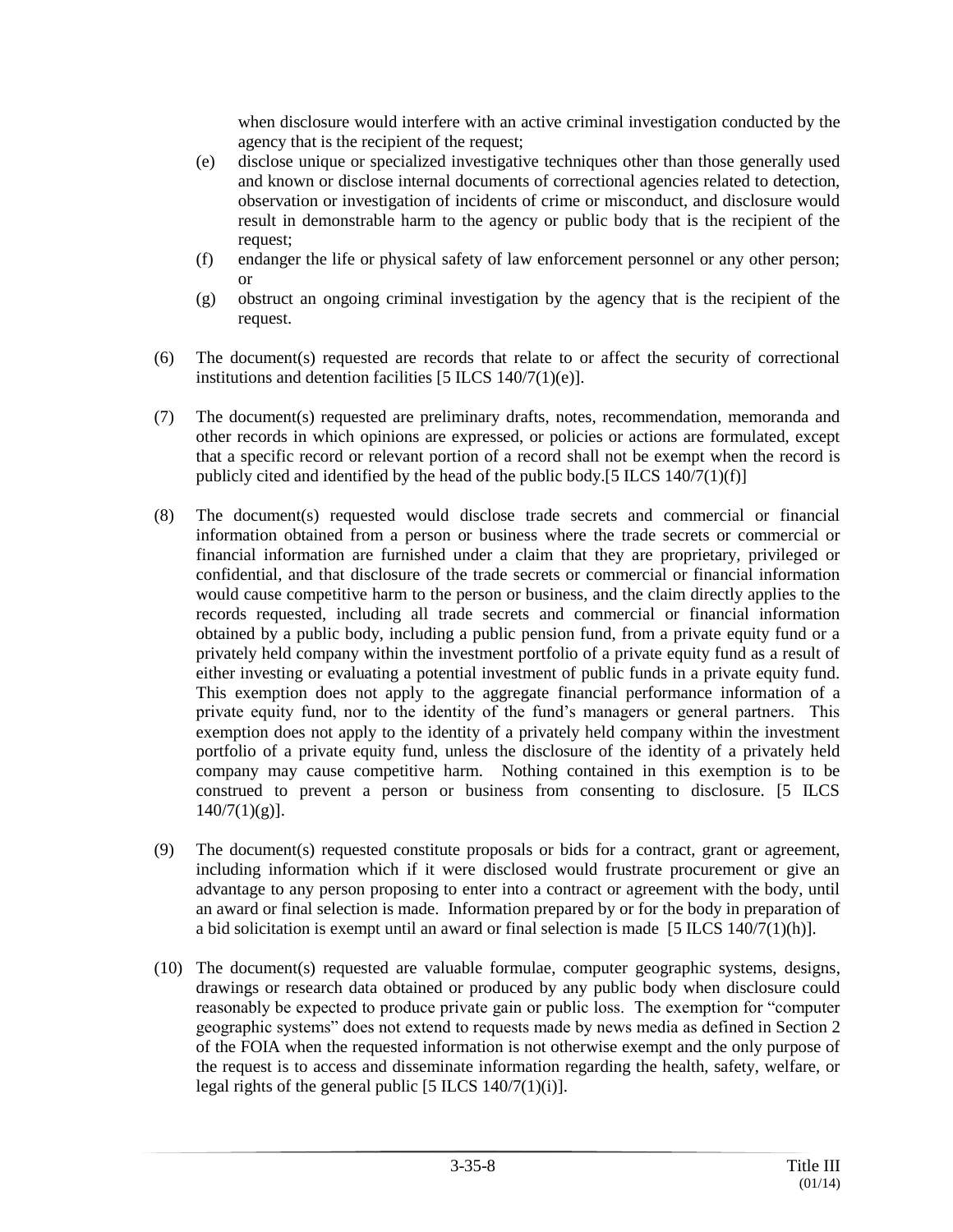when disclosure would interfere with an active criminal investigation conducted by the agency that is the recipient of the request;

- (e) disclose unique or specialized investigative techniques other than those generally used and known or disclose internal documents of correctional agencies related to detection, observation or investigation of incidents of crime or misconduct, and disclosure would result in demonstrable harm to the agency or public body that is the recipient of the request;
- (f) endanger the life or physical safety of law enforcement personnel or any other person; or
- (g) obstruct an ongoing criminal investigation by the agency that is the recipient of the request.
- (6) The document(s) requested are records that relate to or affect the security of correctional institutions and detention facilities [5 ILCS 140/7(1)(e)].
- (7) The document(s) requested are preliminary drafts, notes, recommendation, memoranda and other records in which opinions are expressed, or policies or actions are formulated, except that a specific record or relevant portion of a record shall not be exempt when the record is publicly cited and identified by the head of the public body.[5 ILCS 140/7(1)(f)]
- (8) The document(s) requested would disclose trade secrets and commercial or financial information obtained from a person or business where the trade secrets or commercial or financial information are furnished under a claim that they are proprietary, privileged or confidential, and that disclosure of the trade secrets or commercial or financial information would cause competitive harm to the person or business, and the claim directly applies to the records requested, including all trade secrets and commercial or financial information obtained by a public body, including a public pension fund, from a private equity fund or a privately held company within the investment portfolio of a private equity fund as a result of either investing or evaluating a potential investment of public funds in a private equity fund. This exemption does not apply to the aggregate financial performance information of a private equity fund, nor to the identity of the fund's managers or general partners. This exemption does not apply to the identity of a privately held company within the investment portfolio of a private equity fund, unless the disclosure of the identity of a privately held company may cause competitive harm. Nothing contained in this exemption is to be construed to prevent a person or business from consenting to disclosure. [5 ILCS  $140/7(1)(g)$ ].
- (9) The document(s) requested constitute proposals or bids for a contract, grant or agreement, including information which if it were disclosed would frustrate procurement or give an advantage to any person proposing to enter into a contract or agreement with the body, until an award or final selection is made. Information prepared by or for the body in preparation of a bid solicitation is exempt until an award or final selection is made  $[5$  ILCS 140/7(1)(h)].
- (10) The document(s) requested are valuable formulae, computer geographic systems, designs, drawings or research data obtained or produced by any public body when disclosure could reasonably be expected to produce private gain or public loss. The exemption for "computer geographic systems" does not extend to requests made by news media as defined in Section 2 of the FOIA when the requested information is not otherwise exempt and the only purpose of the request is to access and disseminate information regarding the health, safety, welfare, or legal rights of the general public  $[5$  ILCS  $140/7(1)(i)$ ].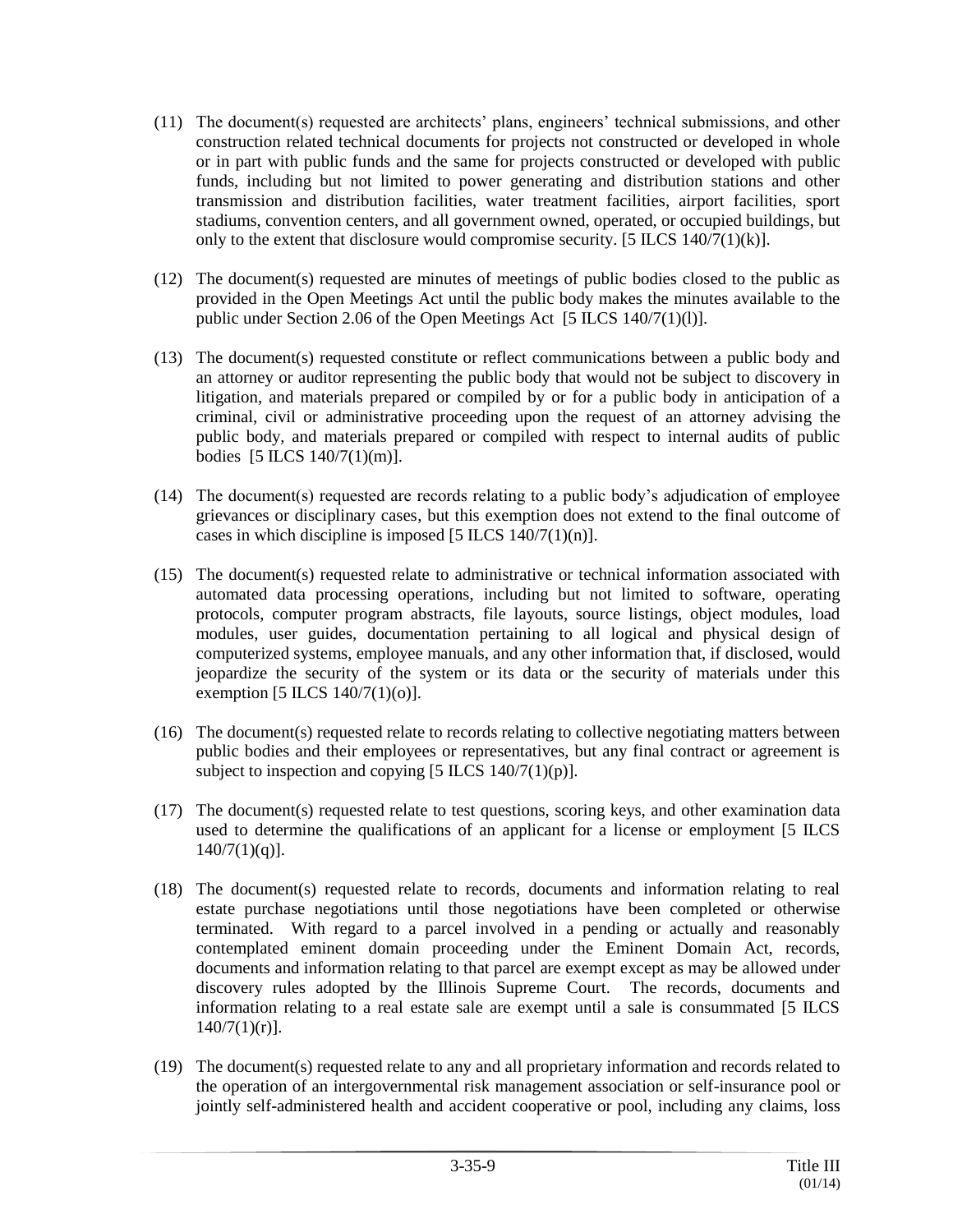- (11) The document(s) requested are architects' plans, engineers' technical submissions, and other construction related technical documents for projects not constructed or developed in whole or in part with public funds and the same for projects constructed or developed with public funds, including but not limited to power generating and distribution stations and other transmission and distribution facilities, water treatment facilities, airport facilities, sport stadiums, convention centers, and all government owned, operated, or occupied buildings, but only to the extent that disclosure would compromise security. [5 ILCS  $140/7(1)(k)$ ].
- (12) The document(s) requested are minutes of meetings of public bodies closed to the public as provided in the Open Meetings Act until the public body makes the minutes available to the public under Section 2.06 of the Open Meetings Act [5 ILCS 140/7(1)(1)].
- (13) The document(s) requested constitute or reflect communications between a public body and an attorney or auditor representing the public body that would not be subject to discovery in litigation, and materials prepared or compiled by or for a public body in anticipation of a criminal, civil or administrative proceeding upon the request of an attorney advising the public body, and materials prepared or compiled with respect to internal audits of public bodies [5 ILCS 140/7(1)(m)].
- (14) The document(s) requested are records relating to a public body's adjudication of employee grievances or disciplinary cases, but this exemption does not extend to the final outcome of cases in which discipline is imposed  $[5$  ILCS  $140/7(1)(n)$ ].
- (15) The document(s) requested relate to administrative or technical information associated with automated data processing operations, including but not limited to software, operating protocols, computer program abstracts, file layouts, source listings, object modules, load modules, user guides, documentation pertaining to all logical and physical design of computerized systems, employee manuals, and any other information that, if disclosed, would jeopardize the security of the system or its data or the security of materials under this exemption  $[5$  ILCS  $140/7(1)(o)$ ].
- (16) The document(s) requested relate to records relating to collective negotiating matters between public bodies and their employees or representatives, but any final contract or agreement is subject to inspection and copying  $[5 \text{ ILCS } 140/7(1)(p)].$
- (17) The document(s) requested relate to test questions, scoring keys, and other examination data used to determine the qualifications of an applicant for a license or employment [5 ILCS  $140/7(1)(q)$ ].
- (18) The document(s) requested relate to records, documents and information relating to real estate purchase negotiations until those negotiations have been completed or otherwise terminated. With regard to a parcel involved in a pending or actually and reasonably contemplated eminent domain proceeding under the Eminent Domain Act, records, documents and information relating to that parcel are exempt except as may be allowed under discovery rules adopted by the Illinois Supreme Court. The records, documents and information relating to a real estate sale are exempt until a sale is consummated [5 ILCS  $140/7(1)(r)$ .
- (19) The document(s) requested relate to any and all proprietary information and records related to the operation of an intergovernmental risk management association or self-insurance pool or jointly self-administered health and accident cooperative or pool, including any claims, loss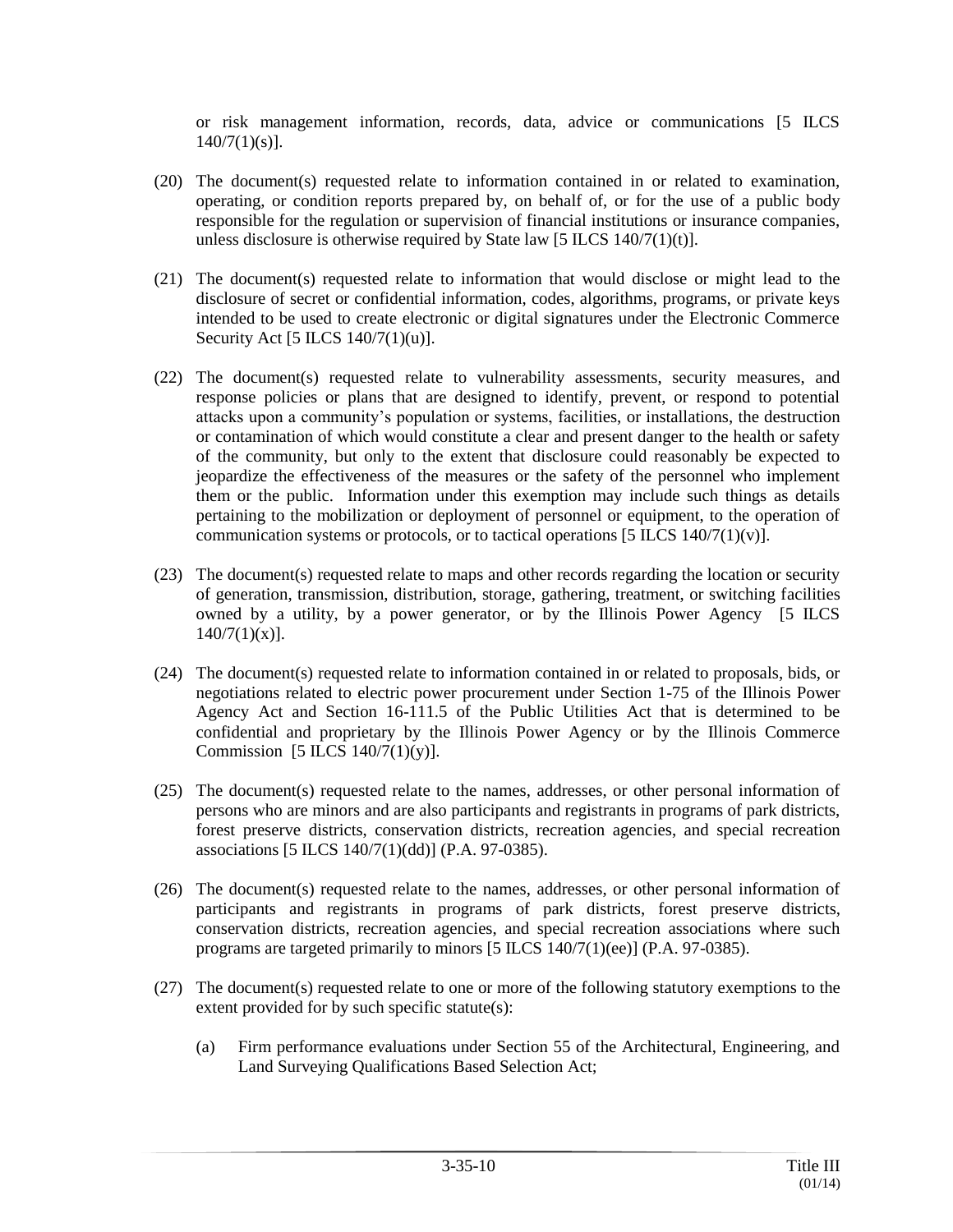or risk management information, records, data, advice or communications [5 ILCS  $140/7(1)(s)$ ].

- (20) The document(s) requested relate to information contained in or related to examination, operating, or condition reports prepared by, on behalf of, or for the use of a public body responsible for the regulation or supervision of financial institutions or insurance companies, unless disclosure is otherwise required by State law  $[5$  ILCS  $140/7(1)(t)$ ].
- (21) The document(s) requested relate to information that would disclose or might lead to the disclosure of secret or confidential information, codes, algorithms, programs, or private keys intended to be used to create electronic or digital signatures under the Electronic Commerce Security Act [5 ILCS 140/7(1)(u)].
- (22) The document(s) requested relate to vulnerability assessments, security measures, and response policies or plans that are designed to identify, prevent, or respond to potential attacks upon a community's population or systems, facilities, or installations, the destruction or contamination of which would constitute a clear and present danger to the health or safety of the community, but only to the extent that disclosure could reasonably be expected to jeopardize the effectiveness of the measures or the safety of the personnel who implement them or the public. Information under this exemption may include such things as details pertaining to the mobilization or deployment of personnel or equipment, to the operation of communication systems or protocols, or to tactical operations  $[5 \text{ ILCS } 140/7(1)(v)].$
- (23) The document(s) requested relate to maps and other records regarding the location or security of generation, transmission, distribution, storage, gathering, treatment, or switching facilities owned by a utility, by a power generator, or by the Illinois Power Agency [5 ILCS  $140/7(1)(x)$ ].
- (24) The document(s) requested relate to information contained in or related to proposals, bids, or negotiations related to electric power procurement under Section 1-75 of the Illinois Power Agency Act and Section 16-111.5 of the Public Utilities Act that is determined to be confidential and proprietary by the Illinois Power Agency or by the Illinois Commerce Commission  $[5$  ILCS  $140/7(1)(y)$ ].
- (25) The document(s) requested relate to the names, addresses, or other personal information of persons who are minors and are also participants and registrants in programs of park districts, forest preserve districts, conservation districts, recreation agencies, and special recreation associations [5 ILCS 140/7(1)(dd)] (P.A. 97-0385).
- (26) The document(s) requested relate to the names, addresses, or other personal information of participants and registrants in programs of park districts, forest preserve districts, conservation districts, recreation agencies, and special recreation associations where such programs are targeted primarily to minors [5 ILCS 140/7(1)(ee)] (P.A. 97-0385).
- (27) The document(s) requested relate to one or more of the following statutory exemptions to the extent provided for by such specific statute(s):
	- (a) Firm performance evaluations under Section 55 of the Architectural, Engineering, and Land Surveying Qualifications Based Selection Act;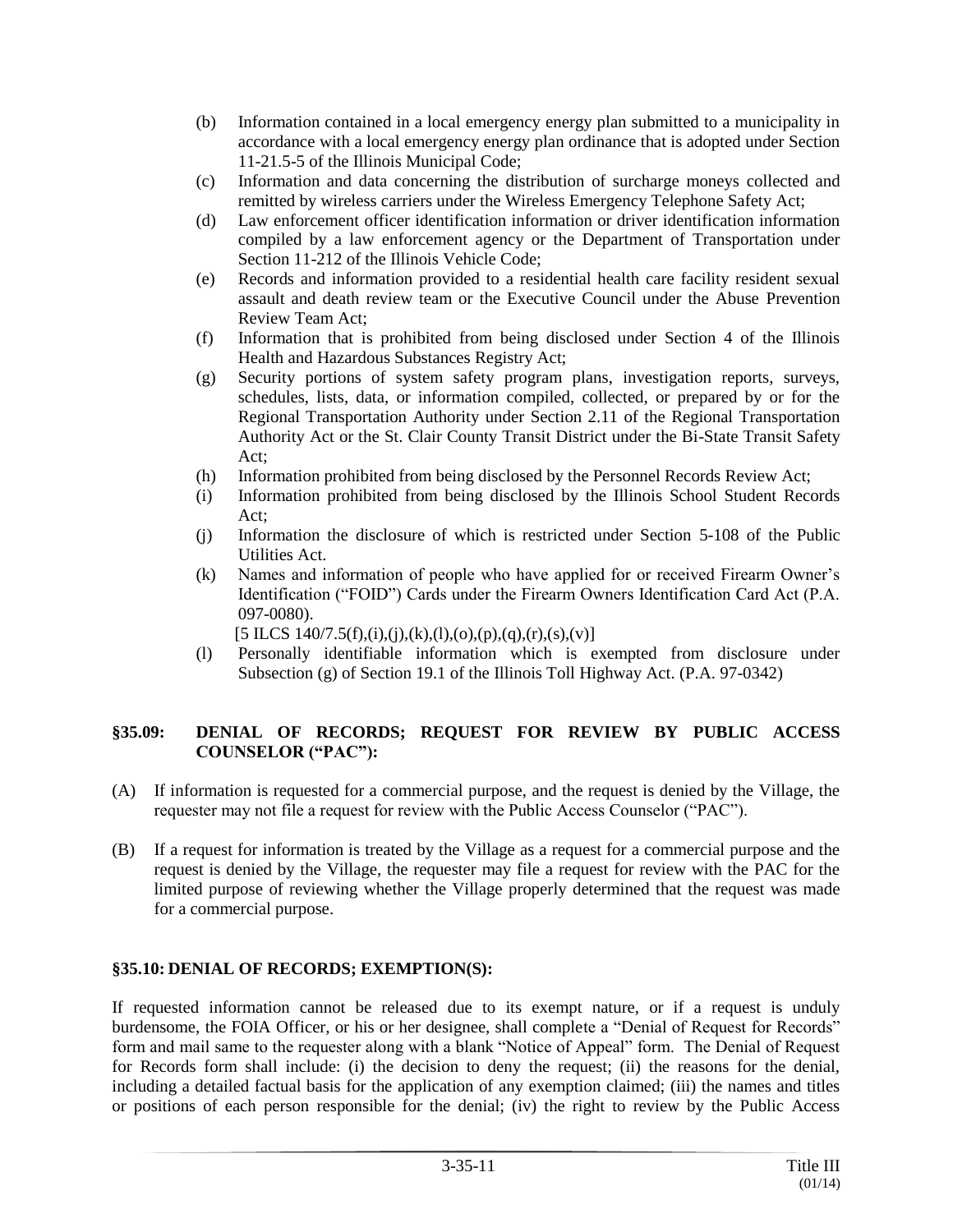- (b) Information contained in a local emergency energy plan submitted to a municipality in accordance with a local emergency energy plan ordinance that is adopted under Section 11-21.5-5 of the Illinois Municipal Code;
- (c) Information and data concerning the distribution of surcharge moneys collected and remitted by wireless carriers under the Wireless Emergency Telephone Safety Act;
- (d) Law enforcement officer identification information or driver identification information compiled by a law enforcement agency or the Department of Transportation under Section 11-212 of the Illinois Vehicle Code;
- (e) Records and information provided to a residential health care facility resident sexual assault and death review team or the Executive Council under the Abuse Prevention Review Team Act;
- (f) Information that is prohibited from being disclosed under Section 4 of the Illinois Health and Hazardous Substances Registry Act;
- (g) Security portions of system safety program plans, investigation reports, surveys, schedules, lists, data, or information compiled, collected, or prepared by or for the Regional Transportation Authority under Section 2.11 of the Regional Transportation Authority Act or the St. Clair County Transit District under the Bi-State Transit Safety Act;
- (h) Information prohibited from being disclosed by the Personnel Records Review Act;
- (i) Information prohibited from being disclosed by the Illinois School Student Records Act;
- (j) Information the disclosure of which is restricted under Section 5-108 of the Public Utilities Act.
- (k) Names and information of people who have applied for or received Firearm Owner's Identification ("FOID") Cards under the Firearm Owners Identification Card Act (P.A. 097-0080).
	- $[5$  ILCS 140/7.5(f),(i),(i),(k),(l),(o),(p),(q),(r),(s),(v)]
- (l) Personally identifiable information which is exempted from disclosure under Subsection (g) of Section 19.1 of the Illinois Toll Highway Act. (P.A. 97-0342)

### **§35.09: DENIAL OF RECORDS; REQUEST FOR REVIEW BY PUBLIC ACCESS COUNSELOR ("PAC"):**

- (A) If information is requested for a commercial purpose, and the request is denied by the Village, the requester may not file a request for review with the Public Access Counselor ("PAC").
- (B) If a request for information is treated by the Village as a request for a commercial purpose and the request is denied by the Village, the requester may file a request for review with the PAC for the limited purpose of reviewing whether the Village properly determined that the request was made for a commercial purpose.

## **§35.10: DENIAL OF RECORDS; EXEMPTION(S):**

If requested information cannot be released due to its exempt nature, or if a request is unduly burdensome, the FOIA Officer, or his or her designee, shall complete a "Denial of Request for Records" form and mail same to the requester along with a blank "Notice of Appeal" form. The Denial of Request for Records form shall include: (i) the decision to deny the request; (ii) the reasons for the denial, including a detailed factual basis for the application of any exemption claimed; (iii) the names and titles or positions of each person responsible for the denial; (iv) the right to review by the Public Access